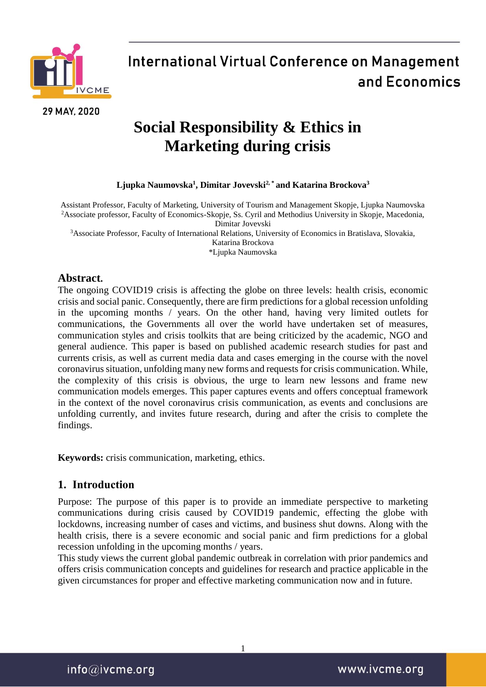

29 MAY, 2020

# **International Virtual Conference on Management** and Economics

## **Social Responsibility & Ethics in Marketing during crisis**

### **Ljupka Naumovska<sup>1</sup> , Dimitar Jovevski2, \* and Katarina Brockova<sup>3</sup>**

Assistant Professor, Faculty of Marketing, University of Tourism and Management Skopje, Ljupka Naumovska <sup>2</sup>Associate professor, Faculty of Economics-Skopje, Ss. Cyril and Methodius University in Skopje, Macedonia, Dimitar Jovevski

<sup>3</sup>Associate Professor, Faculty of International Relations, University of Economics in Bratislava, Slovakia,

Katarina Brockova

\*Ljupka Naumovska

### **Abstract.**

The ongoing COVID19 crisis is affecting the globe on three levels: health crisis, economic crisis and social panic. Consequently, there are firm predictions for a global recession unfolding in the upcoming months / years. On the other hand, having very limited outlets for communications, the Governments all over the world have undertaken set of measures, communication styles and crisis toolkits that are being criticized by the academic, NGO and general audience. This paper is based on published academic research studies for past and currents crisis, as well as current media data and cases emerging in the course with the novel coronavirus situation, unfolding many new forms and requests for crisis communication. While, the complexity of this crisis is obvious, the urge to learn new lessons and frame new communication models emerges. This paper captures events and offers conceptual framework in the context of the novel coronavirus crisis communication, as events and conclusions are unfolding currently, and invites future research, during and after the crisis to complete the findings.

**Keywords:** crisis communication, marketing, ethics.

## **1. Introduction**

Purpose: The purpose of this paper is to provide an immediate perspective to marketing communications during crisis caused by COVID19 pandemic, effecting the globe with lockdowns, increasing number of cases and victims, and business shut downs. Along with the health crisis, there is a severe economic and social panic and firm predictions for a global recession unfolding in the upcoming months / years.

This study views the current global pandemic outbreak in correlation with prior pandemics and offers crisis communication concepts and guidelines for research and practice applicable in the given circumstances for proper and effective marketing communication now and in future.

1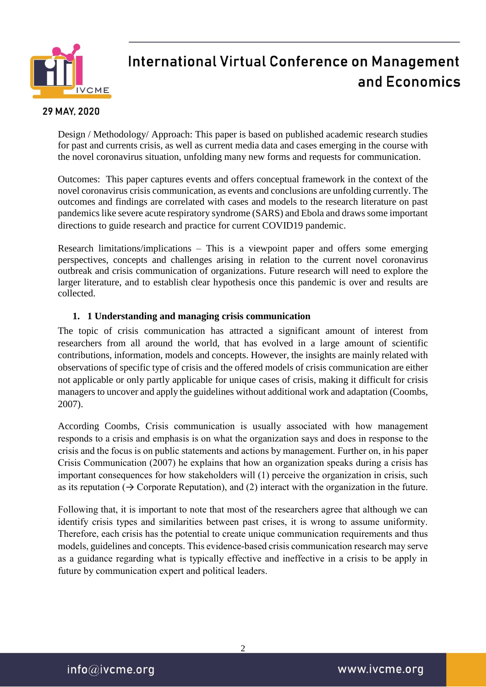

### 29 MAY, 2020

Design / Methodology/ Approach: This paper is based on published academic research studies for past and currents crisis, as well as current media data and cases emerging in the course with the novel coronavirus situation, unfolding many new forms and requests for communication.

Outcomes: This paper captures events and offers conceptual framework in the context of the novel coronavirus crisis communication, as events and conclusions are unfolding currently. The outcomes and findings are correlated with cases and models to the research literature on past pandemics like severe acute respiratory syndrome (SARS) and Ebola and draws some important directions to guide research and practice for current COVID19 pandemic.

Research limitations/implications – This is a viewpoint paper and offers some emerging perspectives, concepts and challenges arising in relation to the current novel coronavirus outbreak and crisis communication of organizations. Future research will need to explore the larger literature, and to establish clear hypothesis once this pandemic is over and results are collected.

### **1. 1 Understanding and managing crisis communication**

The topic of crisis communication has attracted a significant amount of interest from researchers from all around the world, that has evolved in a large amount of scientific contributions, information, models and concepts. However, the insights are mainly related with observations of specific type of crisis and the offered models of crisis communication are either not applicable or only partly applicable for unique cases of crisis, making it difficult for crisis managers to uncover and apply the guidelines without additional work and adaptation (Coombs, 2007).

According Coombs, Crisis communication is usually associated with how management responds to a crisis and emphasis is on what the organization says and does in response to the crisis and the focus is on public statements and actions by management. Further on, in his paper Crisis Communication (2007) he explains that how an organization speaks during a crisis has important consequences for how stakeholders will (1) perceive the organization in crisis, such as its reputation  $(\rightarrow$  Corporate Reputation), and (2) interact with the organization in the future.

Following that, it is important to note that most of the researchers agree that although we can identify crisis types and similarities between past crises, it is wrong to assume uniformity. Therefore, each crisis has the potential to create unique communication requirements and thus models, guidelines and concepts. This evidence-based crisis communication research may serve as a guidance regarding what is typically effective and ineffective in a crisis to be apply in future by communication expert and political leaders.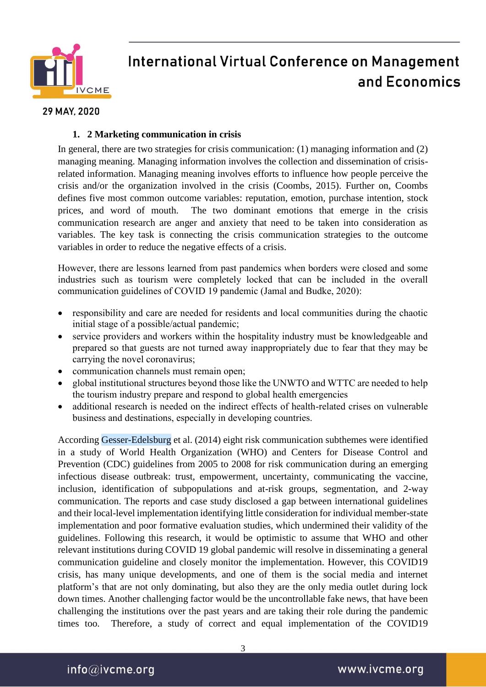

### 29 MAY, 2020

### **1. 2 Marketing communication in crisis**

In general, there are two strategies for crisis communication: (1) managing information and (2) managing meaning. Managing information involves the collection and dissemination of crisisrelated information. Managing meaning involves efforts to influence how people perceive the crisis and/or the organization involved in the crisis (Coombs, 2015). Further on, Coombs defines five most common outcome variables: reputation, emotion, purchase intention, stock prices, and word of mouth. The two dominant emotions that emerge in the crisis communication research are anger and anxiety that need to be taken into consideration as variables. The key task is connecting the crisis communication strategies to the outcome variables in order to reduce the negative effects of a crisis.

However, there are lessons learned from past pandemics when borders were closed and some industries such as tourism were completely locked that can be included in the overall communication guidelines of COVID 19 pandemic (Jamal and Budke, 2020):

- responsibility and care are needed for residents and local communities during the chaotic initial stage of a possible/actual pandemic;
- service providers and workers within the hospitality industry must be knowledgeable and prepared so that guests are not turned away inappropriately due to fear that they may be carrying the novel coronavirus;
- communication channels must remain open;
- global institutional structures beyond those like the UNWTO and WTTC are needed to help the tourism industry prepare and respond to global health emergencies
- additional research is needed on the indirect effects of health-related crises on vulnerable business and destinations, especially in developing countries.

According Gesser-Edelsburg et al. (2014) eight risk communication subthemes were identified in a study of World Health Organization (WHO) and Centers for Disease Control and Prevention (CDC) guidelines from 2005 to 2008 for risk communication during an emerging infectious disease outbreak: trust, empowerment, uncertainty, communicating the vaccine, inclusion, identification of subpopulations and at-risk groups, segmentation, and 2-way communication. The reports and case study disclosed a gap between international guidelines and their local-level implementation identifying little consideration for individual member-state implementation and poor formative evaluation studies, which undermined their validity of the guidelines. Following this research, it would be optimistic to assume that WHO and other relevant institutions during COVID 19 global pandemic will resolve in disseminating a general communication guideline and closely monitor the implementation. However, this COVID19 crisis, has many unique developments, and one of them is the social media and internet platform's that are not only dominating, but also they are the only media outlet during lock down times. Another challenging factor would be the uncontrollable fake news, that have been challenging the institutions over the past years and are taking their role during the pandemic times too. Therefore, a study of correct and equal implementation of the COVID19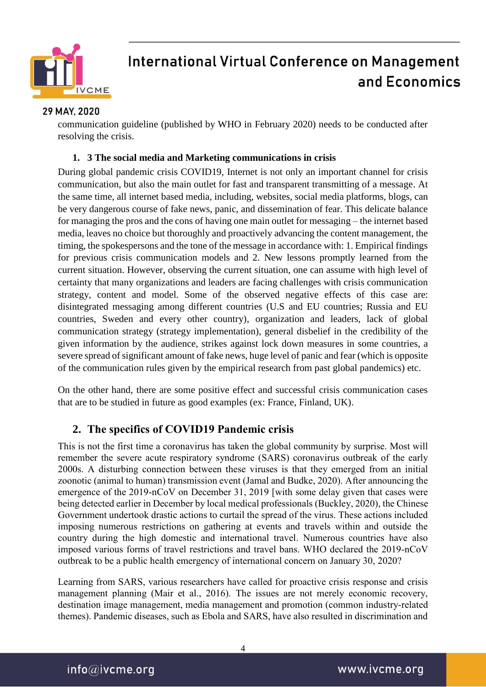

### 29 MAY, 2020

communication guideline (published by WHO in February 2020) needs to be conducted after resolving the crisis.

### **1. 3 The social media and Marketing communications in crisis**

During global pandemic crisis COVID19, Internet is not only an important channel for crisis communication, but also the main outlet for fast and transparent transmitting of a message. At the same time, all internet based media, including, websites, social media platforms, blogs, can be very dangerous course of fake news, panic, and dissemination of fear. This delicate balance for managing the pros and the cons of having one main outlet for messaging – the internet based media, leaves no choice but thoroughly and proactively advancing the content management, the timing, the spokespersons and the tone of the message in accordance with: 1. Empirical findings for previous crisis communication models and 2. New lessons promptly learned from the current situation. However, observing the current situation, one can assume with high level of certainty that many organizations and leaders are facing challenges with crisis communication strategy, content and model. Some of the observed negative effects of this case are: disintegrated messaging among different countries (U.S and EU countries; Russia and EU countries, Sweden and every other country), organization and leaders, lack of global communication strategy (strategy implementation), general disbelief in the credibility of the given information by the audience, strikes against lock down measures in some countries, a severe spread of significant amount of fake news, huge level of panic and fear (which is opposite of the communication rules given by the empirical research from past global pandemics) etc.

On the other hand, there are some positive effect and successful crisis communication cases that are to be studied in future as good examples (ex: France, Finland, UK).

## **2. The specifics of COVID19 Pandemic crisis**

This is not the first time a coronavirus has taken the global community by surprise. Most will remember the severe acute respiratory syndrome (SARS) coronavirus outbreak of the early 2000s. A disturbing connection between these viruses is that they emerged from an initial zoonotic (animal to human) transmission event (Jamal and Budke, 2020). After announcing the emergence of the 2019-nCoV on December 31, 2019 [with some delay given that cases were being detected earlier in December by local medical professionals (Buckley, 2020), the Chinese Government undertook drastic actions to curtail the spread of the virus. These actions included imposing numerous restrictions on gathering at events and travels within and outside the country during the high domestic and international travel. Numerous countries have also imposed various forms of travel restrictions and travel bans. WHO declared the 2019-nCoV outbreak to be a public health emergency of international concern on January 30, 2020?

Learning from SARS, various researchers have called for proactive crisis response and crisis management planning (Mair et al., 2016). The issues are not merely economic recovery, destination image management, media management and promotion (common industry-related themes). Pandemic diseases, such as Ebola and SARS, have also resulted in discrimination and

 $info@$ ivcme.org

4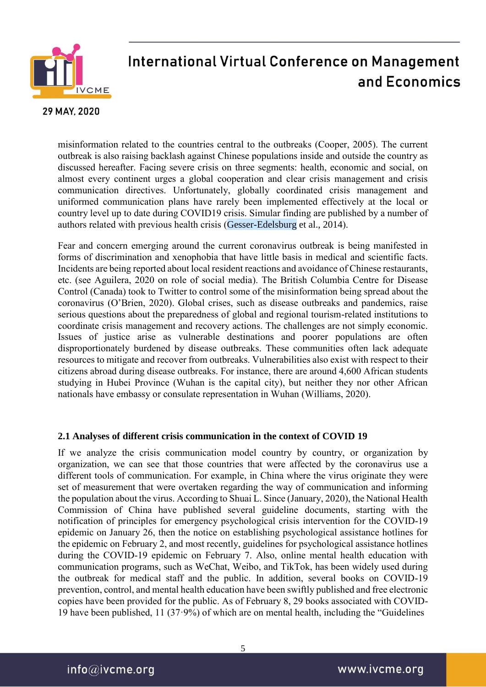

### 29 MAY, 2020

misinformation related to the countries central to the outbreaks (Cooper, 2005). The current outbreak is also raising backlash against Chinese populations inside and outside the country as discussed hereafter. Facing severe crisis on three segments: health, economic and social, on almost every continent urges a global cooperation and clear crisis management and crisis communication directives. Unfortunately, globally coordinated crisis management and uniformed communication plans have rarely been implemented effectively at the local or country level up to date during COVID19 crisis. Simular finding are published by a number of authors related with previous health crisis (Gesser-Edelsburg et al., 2014).

Fear and concern emerging around the current coronavirus outbreak is being manifested in forms of discrimination and xenophobia that have little basis in medical and scientific facts. Incidents are being reported about local resident reactions and avoidance of Chinese restaurants, etc. (see Aguilera, 2020 on role of social media). The British Columbia Centre for Disease Control (Canada) took to Twitter to control some of the misinformation being spread about the coronavirus (O'Brien, 2020). Global crises, such as disease outbreaks and pandemics, raise serious questions about the preparedness of global and regional tourism-related institutions to coordinate crisis management and recovery actions. The challenges are not simply economic. Issues of justice arise as vulnerable destinations and poorer populations are often disproportionately burdened by disease outbreaks. These communities often lack adequate resources to mitigate and recover from outbreaks. Vulnerabilities also exist with respect to their citizens abroad during disease outbreaks. For instance, there are around 4,600 African students studying in Hubei Province (Wuhan is the capital city), but neither they nor other African nationals have embassy or consulate representation in Wuhan (Williams, 2020).

### **2.1 Analyses of different crisis communication in the context of COVID 19**

If we analyze the crisis communication model country by country, or organization by organization, we can see that those countries that were affected by the coronavirus use a different tools of communication. For example, in China where the virus originate they were set of measurement that were overtaken regarding the way of communication and informing the population about the virus. According to Shuai L. Since (January, 2020), the National Health Commission of China have published several guideline documents, starting with the notification of principles for emergency psychological crisis intervention for the COVID-19 epidemic on January 26, then the notice on establishing psychological assistance hotlines for the epidemic on February 2, and most recently, guidelines for psychological assistance hotlines during the COVID-19 epidemic on February 7. Also, online mental health education with communication programs, such as WeChat, Weibo, and TikTok, has been widely used during the outbreak for medical staff and the public. In addition, several books on COVID-19 prevention, control, and mental health education have been swiftly published and free electronic copies have been provided for the public. As of February 8, 29 books associated with COVID-19 have been published, 11 (37·9%) of which are on mental health, including the "Guidelines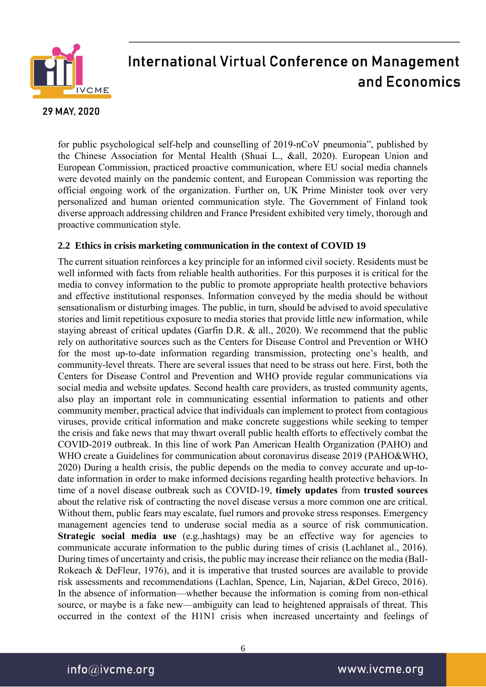

#### 29 MAY, 2020

for public psychological self-help and counselling of 2019-nCoV pneumonia", published by the Chinese Association for Mental Health (Shuai L., &all, 2020). European Union and European Commission, practiced proactive communication, where EU social media channels were devoted mainly on the pandemic content, and European Commission was reporting the official ongoing work of the organization. Further on, UK Prime Minister took over very personalized and human oriented communication style. The Government of Finland took diverse approach addressing children and France President exhibited very timely, thorough and proactive communication style.

### **2.2 Ethics in crisis marketing communication in the context of COVID 19**

The current situation reinforces a key principle for an informed civil society. Residents must be well informed with facts from reliable health authorities. For this purposes it is critical for the media to convey information to the public to promote appropriate health protective behaviors and effective institutional responses. Information conveyed by the media should be without sensationalism or disturbing images. The public, in turn, should be advised to avoid speculative stories and limit repetitious exposure to media stories that provide little new information, while staying abreast of critical updates (Garfin D.R. & all., 2020). We recommend that the public rely on authoritative sources such as the Centers for Disease Control and Prevention or WHO for the most up-to-date information regarding transmission, protecting one's health, and community-level threats. There are several issues that need to be strass out here. First, both the Centers for Disease Control and Prevention and WHO provide regular communications via social media and website updates. Second health care providers, as trusted community agents, also play an important role in communicating essential information to patients and other community member, practical advice that individuals can implement to protect from contagious viruses, provide critical information and make concrete suggestions while seeking to temper the crisis and fake news that may thwart overall public health efforts to effectively combat the COVID-2019 outbreak. In this line of work Pan American Health Organization (PAHO) and WHO create a Guidelines for communication about coronavirus disease 2019 (PAHO&WHO, 2020) During a health crisis, the public depends on the media to convey accurate and up-todate information in order to make informed decisions regarding health protective behaviors. In time of a novel disease outbreak such as COVID-19, **timely updates** from **trusted sources** about the relative risk of contracting the novel disease versus a more common one are critical. Without them, public fears may escalate, fuel rumors and provoke stress responses. Emergency management agencies tend to underuse social media as a source of risk communication. **Strategic social media use** (e.g.,hashtags) may be an effective way for agencies to communicate accurate information to the public during times of crisis (Lachlanet al., 2016). During times of uncertainty and crisis, the public may increase their reliance on the media (Ball-Rokeach & DeFleur, 1976), and it is imperative that trusted sources are available to provide risk assessments and recommendations (Lachlan, Spence, Lin, Najarian, &Del Greco, 2016). In the absence of information—whether because the information is coming from non-ethical source, or maybe is a fake new—ambiguity can lead to heightened appraisals of threat. This occurred in the context of the H1N1 crisis when increased uncertainty and feelings of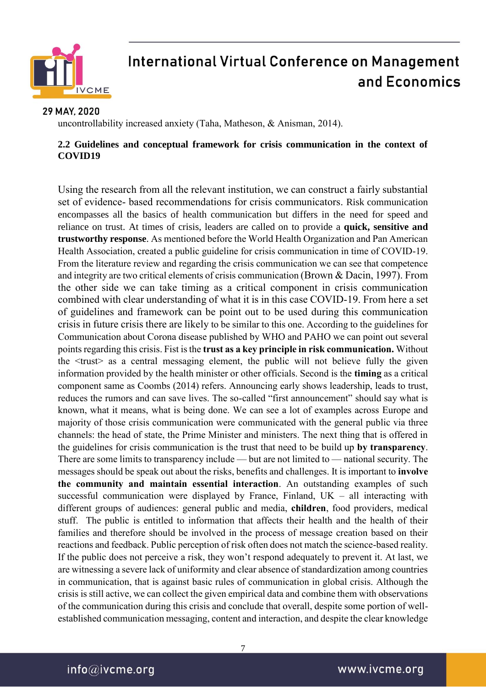

### 29 MAY, 2020

uncontrollability increased anxiety (Taha, Matheson, & Anisman, 2014).

### **2.2 Guidelines and conceptual framework for crisis communication in the context of COVID19**

Using the research from all the relevant institution, we can construct a fairly substantial set of evidence- based recommendations for crisis communicators. Risk communication encompasses all the basics of health communication but differs in the need for speed and reliance on trust. At times of crisis, leaders are called on to provide a **quick, sensitive and trustworthy response**. As mentioned before the World Health Organization and Pan American Health Association, created a public guideline for crisis communication in time of COVID-19. From the literature review and regarding the crisis communication we can see that competence and integrity are two critical elements of crisis communication (Brown & Dacin, 1997). From the other side we can take timing as a critical component in crisis communication combined with clear understanding of what it is in this case COVID-19. From here a set of guidelines and framework can be point out to be used during this communication crisis in future crisis there are likely to be similar to this one. According to the guidelines for Communication about Corona disease published by WHO and PAHO we can point out several points regarding this crisis. Fist is the **trust as a key principle in risk communication.** Without the <trust> as a central messaging element, the public will not believe fully the given information provided by the health minister or other officials. Second is the **timing** as a critical component same as Coombs (2014) refers. Announcing early shows leadership, leads to trust, reduces the rumors and can save lives. The so-called "first announcement" should say what is known, what it means, what is being done. We can see a lot of examples across Europe and majority of those crisis communication were communicated with the general public via three channels: the head of state, the Prime Minister and ministers. The next thing that is offered in the guidelines for crisis communication is the trust that need to be build up **by transparency**. There are some limits to transparency include — but are not limited to — national security. The messages should be speak out about the risks, benefits and challenges. It is important to **involve the community and maintain essential interaction**. An outstanding examples of such successful communication were displayed by France, Finland,  $UK - all$  interacting with different groups of audiences: general public and media, **children**, food providers, medical stuff. The public is entitled to information that affects their health and the health of their families and therefore should be involved in the process of message creation based on their reactions and feedback. Public perception of risk often does not match the science-based reality. If the public does not perceive a risk, they won't respond adequately to prevent it. At last, we are witnessing a severe lack of uniformity and clear absence of standardization among countries in communication, that is against basic rules of communication in global crisis. Although the crisis is still active, we can collect the given empirical data and combine them with observations of the communication during this crisis and conclude that overall, despite some portion of wellestablished communication messaging, content and interaction, and despite the clear knowledge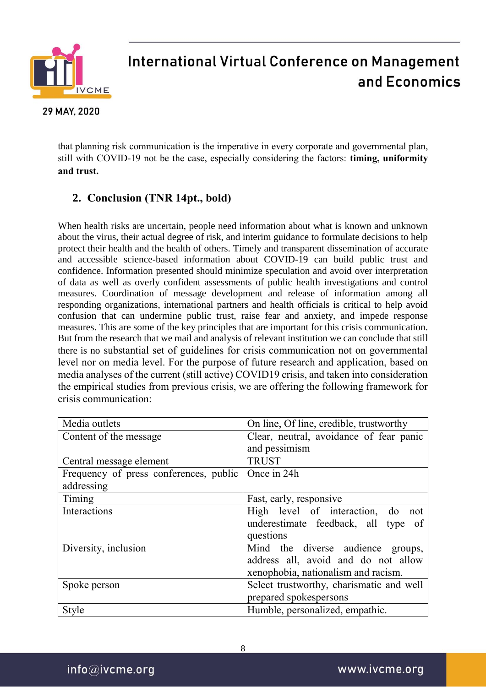

29 MAY, 2020

# **International Virtual Conference on Management** and Economics

that planning risk communication is the imperative in every corporate and governmental plan, still with COVID-19 not be the case, especially considering the factors: **timing, uniformity and trust.**

## **2. Conclusion (TNR 14pt., bold)**

When health risks are uncertain, people need information about what is known and unknown about the virus, their actual degree of risk, and interim guidance to formulate decisions to help protect their health and the health of others. Timely and transparent dissemination of accurate and accessible science-based information about COVID-19 can build public trust and confidence. Information presented should minimize speculation and avoid over interpretation of data as well as overly confident assessments of public health investigations and control measures. Coordination of message development and release of information among all responding organizations, international partners and health officials is critical to help avoid confusion that can undermine public trust, raise fear and anxiety, and impede response measures. This are some of the key principles that are important for this crisis communication. But from the research that we mail and analysis of relevant institution we can conclude that still there is no substantial set of guidelines for crisis communication not on governmental level nor on media level. For the purpose of future research and application, based on media analyses of the current (still active) COVID19 crisis, and taken into consideration the empirical studies from previous crisis, we are offering the following framework for crisis communication:

| Media outlets                          | On line, Of line, credible, trustworthy  |
|----------------------------------------|------------------------------------------|
| Content of the message                 | Clear, neutral, avoidance of fear panic  |
|                                        | and pessimism                            |
| Central message element                | <b>TRUST</b>                             |
| Frequency of press conferences, public | Once in 24h                              |
| addressing                             |                                          |
| Timing                                 | Fast, early, responsive                  |
| Interactions                           | High level of interaction, do<br>not     |
|                                        | underestimate feedback, all type of      |
|                                        | questions                                |
| Diversity, inclusion                   | Mind the diverse audience groups,        |
|                                        | address all, avoid and do not allow      |
|                                        | xenophobia, nationalism and racism.      |
| Spoke person                           | Select trustworthy, charismatic and well |
|                                        | prepared spokespersons                   |
| Style                                  | Humble, personalized, empathic.          |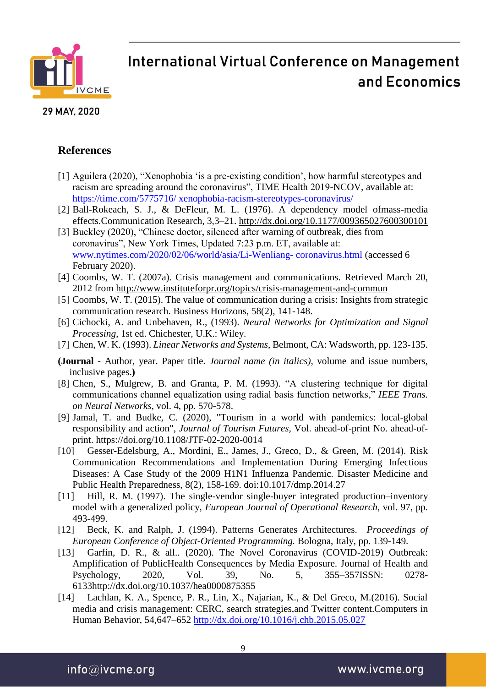

#### 29 MAY, 2020

## **References**

- [1] Aguilera (2020), "Xenophobia 'is a pre-existing condition', how harmful stereotypes and racism are spreading around the coronavirus", TIME Health 2019-NCOV, available at: https://time.com/5775716/ xenophobia-racism-stereotypes-coronavirus/
- [2] Ball-Rokeach, S. J., & DeFleur, M. L. (1976). A dependency model ofmass-media effects.Communication Research, 3,3–21. <http://dx.doi.org/10.1177/009365027600300101>
- [3] Buckley (2020), "Chinese doctor, silenced after warning of outbreak, dies from coronavirus", New York Times, Updated 7:23 p.m. ET, available at: www.nytimes.com/2020/02/06/world/asia/Li-Wenliang- coronavirus.html (accessed 6 February 2020).
- [4] Coombs, W. T. (2007a). Crisis management and communications. Retrieved March 20, 2012 from [http://www.instituteforpr.org/topics/crisis-management-and-commun](http://www.instituteforpr.org/topics/crisis-management-and-communications/)
- [5] Coombs, W. T. (2015). The value of communication during a crisis: Insights from strategic communication research. Business Horizons, 58(2), 141-148.
- [6] Cichocki, A. and Unbehaven, R., (1993). *Neural Networks for Optimization and Signal Processing*, 1st ed. Chichester, U.K.: Wiley.
- [7] Chen, W. K. (1993). *Linear Networks and Systems*, Belmont, CA: Wadsworth, pp. 123-135.
- **(Journal -** Author, year. Paper title. *Journal name (in italics)*, volume and issue numbers, inclusive pages.**)**
- [8] Chen, S., Mulgrew, B. and Granta, P. M. (1993). "A clustering technique for digital communications channel equalization using radial basis function networks," *IEEE Trans. on Neural Networks*, vol. 4, pp. 570-578.
- [9] [Jamal, T.](https://www.emerald.com/insight/search?q=Tazim%20Jamal) and [Budke, C.](https://www.emerald.com/insight/search?q=Christine%20Budke) (2020), "Tourism in a world with pandemics: local-global responsibility and action", *[Journal of Tourism Futures](https://www.emerald.com/insight/publication/issn/2055-5911)*, Vol. ahead-of-print No. ahead-ofprint. <https://doi.org/10.1108/JTF-02-2020-0014>
- [10] Gesser-Edelsburg, A., Mordini, E., James, J., Greco, D., & Green, M. (2014). Risk Communication Recommendations and Implementation During Emerging Infectious Diseases: A Case Study of the 2009 H1N1 Influenza Pandemic. Disaster Medicine and Public Health Preparedness, 8(2), 158-169. doi:10.1017/dmp.2014.27
- [11] Hill, R. M. (1997). The single-vendor single-buyer integrated production–inventory model with a generalized policy, *European Journal of Operational Research*, vol. 97, pp. 493-499.
- [12] Beck, K. and Ralph, J. (1994). Patterns Generates Architectures. *Proceedings of European Conference of Object-Oriented Programming.* Bologna, Italy, pp. 139-149.
- [13] Garfin, D. R., & all.. (2020). The Novel Coronavirus (COVID-2019) Outbreak: Amplification of PublicHealth Consequences by Media Exposure. Journal of Health and Psychology, 2020, Vol. 39, No. 5, 355–357ISSN: 0278- 6133http://dx.doi.org/10.1037/hea0000875355
- [14] Lachlan, K. A., Spence, P. R., Lin, X., Najarian, K., & Del Greco, M.(2016). Social media and crisis management: CERC, search strategies,and Twitter content.Computers in Human Behavior, 54,647–652<http://dx.doi.org/10.1016/j.chb.2015.05.027>

 $info@ivcme.org$